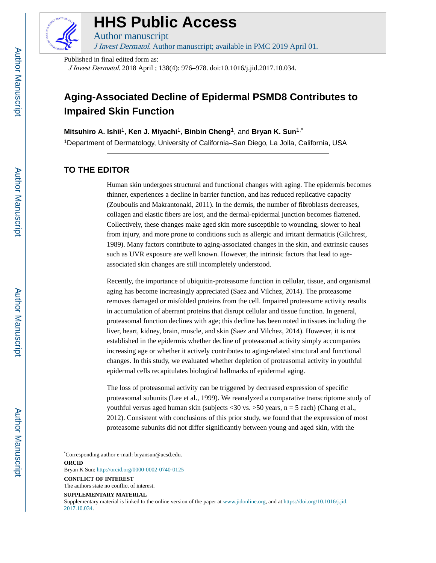

# **HHS Public Access**

Author manuscript J Invest Dermatol. Author manuscript; available in PMC 2019 April 01.

Published in final edited form as:

J Invest Dermatol. 2018 April ; 138(4): 976–978. doi:10.1016/j.jid.2017.10.034.

## **Aging-Associated Decline of Epidermal PSMD8 Contributes to Impaired Skin Function**

**Mitsuhiro A. Ishii**1, **Ken J. Miyachi**1, **Binbin Cheng**1, and **Bryan K. Sun**1,\*

<sup>1</sup>Department of Dermatology, University of California–San Diego, La Jolla, California, USA

### **TO THE EDITOR**

Human skin undergoes structural and functional changes with aging. The epidermis becomes thinner, experiences a decline in barrier function, and has reduced replicative capacity (Zouboulis and Makrantonaki, 2011). In the dermis, the number of fibroblasts decreases, collagen and elastic fibers are lost, and the dermal-epidermal junction becomes flattened. Collectively, these changes make aged skin more susceptible to wounding, slower to heal from injury, and more prone to conditions such as allergic and irritant dermatitis (Gilchrest, 1989). Many factors contribute to aging-associated changes in the skin, and extrinsic causes such as UVR exposure are well known. However, the intrinsic factors that lead to ageassociated skin changes are still incompletely understood.

Recently, the importance of ubiquitin-proteasome function in cellular, tissue, and organismal aging has become increasingly appreciated (Saez and Vilchez, 2014). The proteasome removes damaged or misfolded proteins from the cell. Impaired proteasome activity results in accumulation of aberrant proteins that disrupt cellular and tissue function. In general, proteasomal function declines with age; this decline has been noted in tissues including the liver, heart, kidney, brain, muscle, and skin (Saez and Vilchez, 2014). However, it is not established in the epidermis whether decline of proteasomal activity simply accompanies increasing age or whether it actively contributes to aging-related structural and functional changes. In this study, we evaluated whether depletion of proteasomal activity in youthful epidermal cells recapitulates biological hallmarks of epidermal aging.

The loss of proteasomal activity can be triggered by decreased expression of specific proteasomal subunits (Lee et al., 1999). We reanalyzed a comparative transcriptome study of youthful versus aged human skin (subjects  $\langle 30 \text{ vs. } \rangle$  50 years, n = 5 each) (Chang et al., 2012). Consistent with conclusions of this prior study, we found that the expression of most proteasome subunits did not differ significantly between young and aged skin, with the

\*Corresponding author e-mail: bryansun@ucsd.edu. **ORCID**

Bryan K Sun:<http://orcid.org/0000-0002-0740-0125>

**CONFLICT OF INTEREST**

**SUPPLEMENTARY MATERIAL**

Supplementary material is linked to the online version of the paper at www.jidonline.org, and at [https://doi.org/10.1016/j.jid.](https://doi.org/10.1016/j.jid.2017.10.034) [2017.10.034](https://doi.org/10.1016/j.jid.2017.10.034).

The authors state no conflict of interest.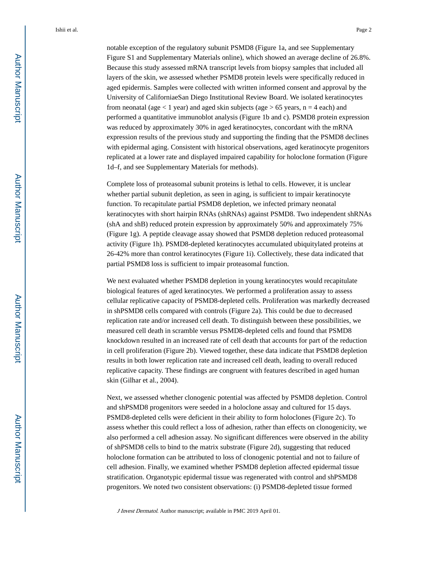notable exception of the regulatory subunit PSMD8 (Figure 1a, and see Supplementary Figure S1 and Supplementary Materials online), which showed an average decline of 26.8%. Because this study assessed mRNA transcript levels from biopsy samples that included all layers of the skin, we assessed whether PSMD8 protein levels were specifically reduced in aged epidermis. Samples were collected with written informed consent and approval by the University of CaliforniaeSan Diego Institutional Review Board. We isolated keratinocytes from neonatal (age  $\lt 1$  year) and aged skin subjects (age  $> 65$  years, n = 4 each) and performed a quantitative immunoblot analysis (Figure 1b and c). PSMD8 protein expression was reduced by approximately 30% in aged keratinocytes, concordant with the mRNA expression results of the previous study and supporting the finding that the PSMD8 declines with epidermal aging. Consistent with historical observations, aged keratinocyte progenitors replicated at a lower rate and displayed impaired capability for holoclone formation (Figure 1d–f, and see Supplementary Materials for methods).

Complete loss of proteasomal subunit proteins is lethal to cells. However, it is unclear whether partial subunit depletion, as seen in aging, is sufficient to impair keratinocyte function. To recapitulate partial PSMD8 depletion, we infected primary neonatal keratinocytes with short hairpin RNAs (shRNAs) against PSMD8. Two independent shRNAs (shA and shB) reduced protein expression by approximately 50% and approximately 75% (Figure 1g). A peptide cleavage assay showed that PSMD8 depletion reduced proteasomal activity (Figure 1h). PSMD8-depleted keratinocytes accumulated ubiquitylated proteins at 26-42% more than control keratinocytes (Figure 1i). Collectively, these data indicated that partial PSMD8 loss is sufficient to impair proteasomal function.

We next evaluated whether PSMD8 depletion in young keratinocytes would recapitulate biological features of aged keratinocytes. We performed a proliferation assay to assess cellular replicative capacity of PSMD8-depleted cells. Proliferation was markedly decreased in shPSMD8 cells compared with controls (Figure 2a). This could be due to decreased replication rate and/or increased cell death. To distinguish between these possibilities, we measured cell death in scramble versus PSMD8-depleted cells and found that PSMD8 knockdown resulted in an increased rate of cell death that accounts for part of the reduction in cell proliferation (Figure 2b). Viewed together, these data indicate that PSMD8 depletion results in both lower replication rate and increased cell death, leading to overall reduced replicative capacity. These findings are congruent with features described in aged human skin (Gilhar et al., 2004).

Next, we assessed whether clonogenic potential was affected by PSMD8 depletion. Control and shPSMD8 progenitors were seeded in a holoclone assay and cultured for 15 days. PSMD8-depleted cells were deficient in their ability to form holoclones (Figure 2c). To assess whether this could reflect a loss of adhesion, rather than effects on clonogenicity, we also performed a cell adhesion assay. No significant differences were observed in the ability of shPSMD8 cells to bind to the matrix substrate (Figure 2d), suggesting that reduced holoclone formation can be attributed to loss of clonogenic potential and not to failure of cell adhesion. Finally, we examined whether PSMD8 depletion affected epidermal tissue stratification. Organotypic epidermal tissue was regenerated with control and shPSMD8 progenitors. We noted two consistent observations: (i) PSMD8-depleted tissue formed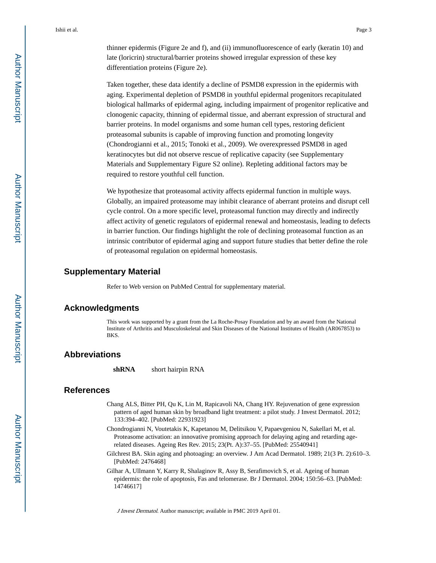thinner epidermis (Figure 2e and f), and (ii) immunofluorescence of early (keratin 10) and late (loricrin) structural/barrier proteins showed irregular expression of these key differentiation proteins (Figure 2e).

Taken together, these data identify a decline of PSMD8 expression in the epidermis with aging. Experimental depletion of PSMD8 in youthful epidermal progenitors recapitulated biological hallmarks of epidermal aging, including impairment of progenitor replicative and clonogenic capacity, thinning of epidermal tissue, and aberrant expression of structural and barrier proteins. In model organisms and some human cell types, restoring deficient proteasomal subunits is capable of improving function and promoting longevity (Chondrogianni et al., 2015; Tonoki et al., 2009). We overexpressed PSMD8 in aged keratinocytes but did not observe rescue of replicative capacity (see Supplementary Materials and Supplementary Figure S2 online). Repleting additional factors may be required to restore youthful cell function.

We hypothesize that proteasomal activity affects epidermal function in multiple ways. Globally, an impaired proteasome may inhibit clearance of aberrant proteins and disrupt cell cycle control. On a more specific level, proteasomal function may directly and indirectly affect activity of genetic regulators of epidermal renewal and homeostasis, leading to defects in barrier function. Our findings highlight the role of declining proteasomal function as an intrinsic contributor of epidermal aging and support future studies that better define the role of proteasomal regulation on epidermal homeostasis.

#### **Supplementary Material**

Refer to Web version on PubMed Central for supplementary material.

#### **Acknowledgments**

This work was supported by a grant from the La Roche-Posay Foundation and by an award from the National Institute of Arthritis and Musculoskeletal and Skin Diseases of the National Institutes of Health (AR067853) to BKS.

#### **Abbreviations**

**shRNA** short hairpin RNA

#### **References**

- Chang ALS, Bitter PH, Qu K, Lin M, Rapicavoli NA, Chang HY. Rejuvenation of gene expression pattern of aged human skin by broadband light treatment: a pilot study. J Invest Dermatol. 2012; 133:394–402. [PubMed: 22931923]
- Chondrogianni N, Voutetakis K, Kapetanou M, Delitsikou V, Papaevgeniou N, Sakellari M, et al. Proteasome activation: an innovative promising approach for delaying aging and retarding agerelated diseases. Ageing Res Rev. 2015; 23(Pt. A):37–55. [PubMed: 25540941]
- Gilchrest BA. Skin aging and photoaging: an overview. J Am Acad Dermatol. 1989; 21(3 Pt. 2):610–3. [PubMed: 2476468]
- Gilhar A, Ullmann Y, Karry R, Shalaginov R, Assy B, Serafimovich S, et al. Ageing of human epidermis: the role of apoptosis, Fas and telomerase. Br J Dermatol. 2004; 150:56–63. [PubMed: 14746617]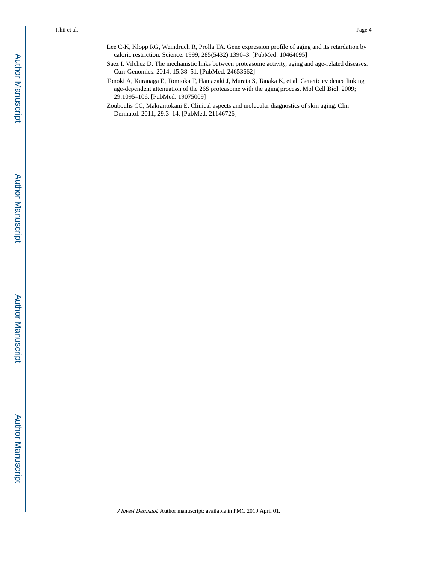- Lee C-K, Klopp RG, Weindruch R, Prolla TA. Gene expression profile of aging and its retardation by caloric restriction. Science. 1999; 285(5432):1390–3. [PubMed: 10464095]
- Saez I, Vilchez D. The mechanistic links between proteasome activity, aging and age-related diseases. Curr Genomics. 2014; 15:38–51. [PubMed: 24653662]
- Tonoki A, Kuranaga E, Tomioka T, Hamazaki J, Murata S, Tanaka K, et al. Genetic evidence linking age-dependent attenuation of the 26S proteasome with the aging process. Mol Cell Biol. 2009; 29:1095–106. [PubMed: 19075009]
- Zouboulis CC, Makrantokani E. Clinical aspects and molecular diagnostics of skin aging. Clin Dermatol. 2011; 29:3–14. [PubMed: 21146726]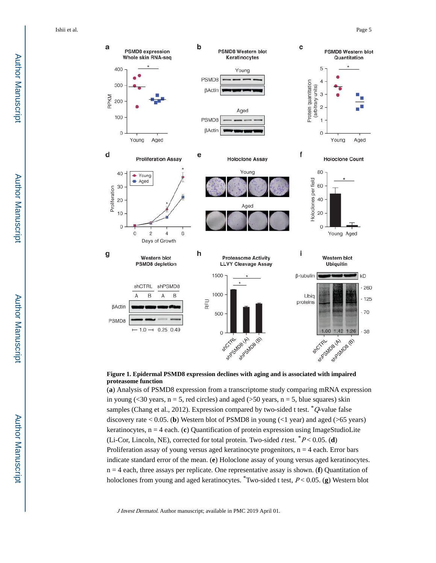

#### **Figure 1. Epidermal PSMD8 expression declines with aging and is associated with impaired proteasome function**

(**a**) Analysis of PSMD8 expression from a transcriptome study comparing mRNA expression in young (<30 years,  $n = 5$ , red circles) and aged (>50 years,  $n = 5$ , blue squares) skin samples (Chang et al., 2012). Expression compared by two-sided t test.  $^*Q$ -value false discovery rate  $< 0.05$ . (**b**) Western blot of PSMD8 in young  $(< 1$  year) and aged ( $> 65$  years) keratinocytes,  $n = 4$  each. (c) Quantification of protein expression using ImageStudioLite (Li-Cor, Lincoln, NE), corrected for total protein. Two-sided *t* test.  $P < 0.05$ . (**d**) Proliferation assay of young versus aged keratinocyte progenitors,  $n = 4$  each. Error bars indicate standard error of the mean. (**e**) Holoclone assay of young versus aged keratinocytes. n = 4 each, three assays per replicate. One representative assay is shown. (**f**) Quantitation of holoclones from young and aged keratinocytes. \*Two-sided t test, P < 0.05. (**g**) Western blot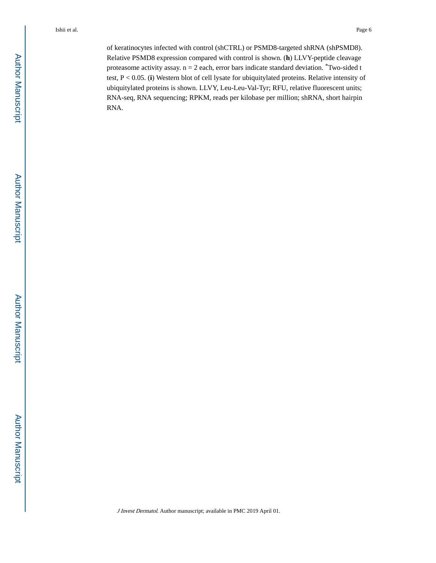of keratinocytes infected with control (shCTRL) or PSMD8-targeted shRNA (shPSMD8). Relative PSMD8 expression compared with control is shown. (**h**) LLVY-peptide cleavage proteasome activity assay.  $n = 2$  each, error bars indicate standard deviation. \*Two-sided t test, P < 0.05. (**i**) Western blot of cell lysate for ubiquitylated proteins. Relative intensity of ubiquitylated proteins is shown. LLVY, Leu-Leu-Val-Tyr; RFU, relative fluorescent units; RNA-seq, RNA sequencing; RPKM, reads per kilobase per million; shRNA, short hairpin RNA.